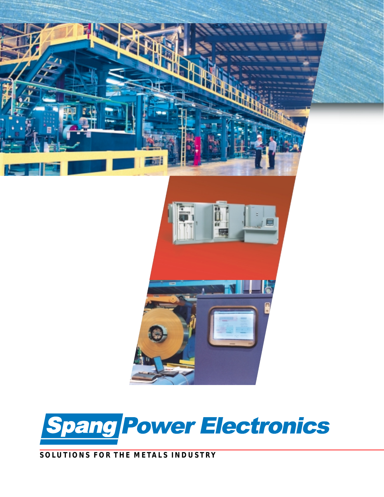



# **SOLUTIONS FOR THE METALS INDUSTRY**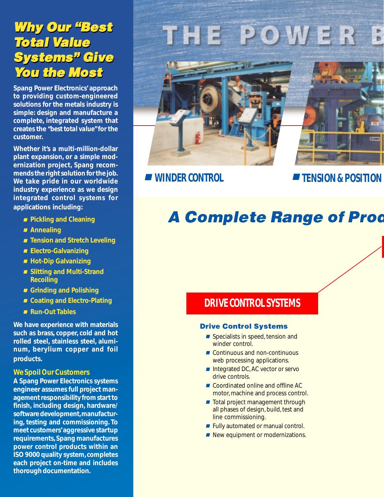# **Why Our "Best** Total Value Systems" Give Systems" Give **You the Most Why Our "Best** Total Value

**Spang Power Electronics' approach to providing custom-engineered solutions for the metals industry is simple: design and manufacture a complete, integrated system that creates the** *"best total value"* **for the customer.**

**Whether it's a multi-million-dollar plant expansion, or a simple modernization project, Spang recommends the right solution for the job. We take pride in our worldwide industry experience as we design integrated control systems for applications including:**

- **Pickling and Cleaning**
- **Annealing**
- **Tension and Stretch Leveling**
- **Electro-Galvanizing**
- **Hot-Dip Galvanizing**
- **Slitting and Multi-Strand Recoiling**
- **Grinding and Polishing**
- **Coating and Electro-Plating**
- **Run-Out Tables**

**We have experience with materials such as brass, copper, cold and hot rolled steel, stainless steel, aluminum, berylium copper and foil products.**

## *We Spoil Our Customers*

**A Spang Power Electronics systems engineer assumes full project management responsibility from start to finish, including design, hardware/ software development, manufacturing, testing and commissioning. To meet customers' aggressive startup requirements, Spang manufactures power control products within an ISO 9000 quality system, completes each project on-time and includes thorough documentation.**

# THE POWER

■ *WINDER CONTROL*

■ *TENSION & POSITION* 

# **A Complete Range of Prod**

# *DRIVE CONTROL SYSTEMS*

### Drive Control Systems

- Specialists in speed, tension and winder control.
- Continuous and non-continuous web processing applications.
- Integrated DC, AC vector or servo drive controls.
- Coordinated online and offline AC motor, machine and process control.
- Total project management through all phases of design, build, test and line commissioning.
- Fully automated or manual control.
- New equipment or modernizations.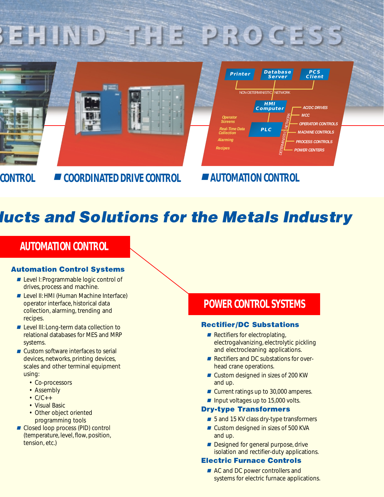# EHIND THE PROCESS



*CONTROL* ■ *COORDINATED DRIVE CONTROL* ■ *AUTOMATION CONTROL*

# **lucts and Solutions for the Metals Industry**

# *AUTOMATION CONTROL*

# Automation Control Systems

- Level I: Programmable logic control of drives, process and machine.
- Level II: HMI (Human Machine Interface) operator interface, historical data collection, alarming, trending and recipes.
- Level III: Long-term data collection to relational databases for MES and MRP systems.
- Custom software interfaces to serial devices, networks, printing devices, scales and other terminal equipment using:
	- Co-processors
	- Assembly
	- $\cdot$  C/C++
	- Visual Basic
	- Other object oriented programming tools
- Closed loop process (PID) control (temperature, level, flow, position, tension, etc.)

# *POWER CONTROL SYSTEMS*

# Rectifier/DC Substations

- Rectifiers for electroplating, electrogalvanizing, electrolytic pickling and electrocleaning applications.
- Rectifiers and DC substations for overhead crane operations.
- Custom designed in sizes of 200 KW and up.
- Current ratings up to 30,000 amperes.
- Input voltages up to 15,000 volts.

# Dry-type Transformers

- 5 and 15 KV class dry-type transformers
- Custom designed in sizes of 500 KVA and up.
- Designed for general purpose, drive isolation and rectifier-duty applications.

### Electric Furnace Controls

■ AC and DC power controllers and systems for electric furnace applications.